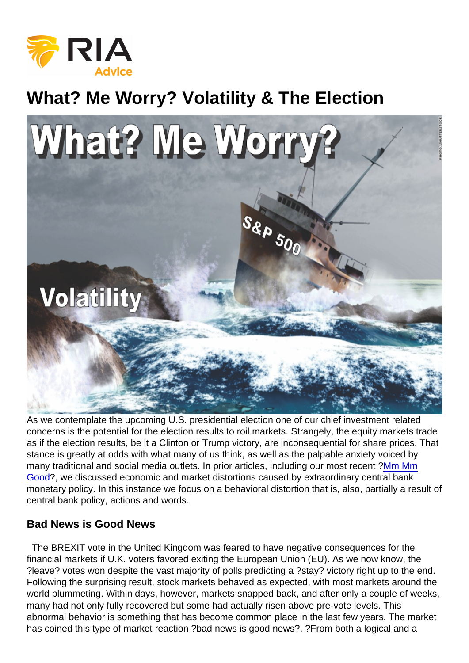## What? Me Worry? Volatility & The Election

As we contemplate the upcoming U.S. presidential election one of our chief investment related concerns is the potential for the election results to roil markets. Strangely, the equity markets trade as if the election results, be it a Clinton or Trump victory, are inconsequential for share prices. That stance is greatly at odds with what many of us think, as well as the palpable anxiety voiced by many traditional and social media outlets. In prior articles, including our most recent ?[Mm Mm](http://nebula.wsimg.com/e4c057c2a49fc2fbc93c7e1f00609b9c?AccessKeyId=372BE07F51497C9CD088&disposition=0&alloworigin=1) [Good](http://nebula.wsimg.com/e4c057c2a49fc2fbc93c7e1f00609b9c?AccessKeyId=372BE07F51497C9CD088&disposition=0&alloworigin=1)?, we discussed economic and market distortions caused by extraordinary central bank monetary policy. In this instance we focus on a behavioral distortion that is, also, partially a result of central bank policy, actions and words.

## Bad News is Good News

 The BREXIT vote in the United Kingdom was feared to have negative consequences for the financial markets if U.K. voters favored exiting the European Union (EU). As we now know, the ?leave? votes won despite the vast majority of polls predicting a ?stay? victory right up to the end. Following the surprising result, stock markets behaved as expected, with most markets around the world plummeting. Within days, however, markets snapped back, and after only a couple of weeks, many had not only fully recovered but some had actually risen above pre-vote levels. This abnormal behavior is something that has become common place in the last few years. The market has coined this type of market reaction ?bad news is good news?. ?From both a logical and a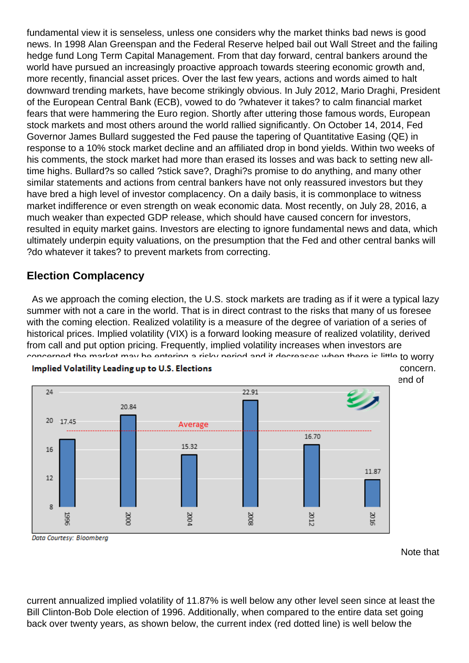fundamental view it is senseless, unless one considers why the market thinks bad news is good news. In 1998 Alan Greenspan and the Federal Reserve helped bail out Wall Street and the failing hedge fund Long Term Capital Management. From that day forward, central bankers around the world have pursued an increasingly proactive approach towards steering economic growth and, more recently, financial asset prices. Over the last few years, actions and words aimed to halt downward trending markets, have become strikingly obvious. In July 2012, Mario Draghi, President of the European Central Bank (ECB), vowed to do ?whatever it takes? to calm financial market fears that were hammering the Euro region. Shortly after uttering those famous words, European stock markets and most others around the world rallied significantly. On October 14, 2014, Fed Governor James Bullard suggested the Fed pause the tapering of Quantitative Easing (QE) in response to a 10% stock market decline and an affiliated drop in bond yields. Within two weeks of his comments, the stock market had more than erased its losses and was back to setting new alltime highs. Bullard?s so called ?stick save?, Draghi?s promise to do anything, and many other similar statements and actions from central bankers have not only reassured investors but they have bred a high level of investor complacency. On a daily basis, it is commonplace to witness market indifference or even strength on weak economic data. Most recently, on July 28, 2016, a much weaker than expected GDP release, which should have caused concern for investors, resulted in equity market gains. Investors are electing to ignore fundamental news and data, which ultimately underpin equity valuations, on the presumption that the Fed and other central banks will ?do whatever it takes? to prevent markets from correcting.

## Election Complacency

 As we approach the coming election, the U.S. stock markets are trading as if it were a typical lazy summer with not a care in the world. That is in direct contrast to the risks that many of us foresee with the coming election. Realized volatility is a measure of the degree of variation of a series of historical prices. Implied volatility (VIX) is a forward looking measure of realized volatility, derived from call and put option pricing. Frequently, implied volatility increases when investors are concerned the market may be entering a risky period and it decreases when there is little to worry [about. Realized and implied volatility help us quantify the level of market complacency or](https://realinvestmentadvice.com/wp-content/uploads/2016/08/720Global-Implied-Volatility-081616.png) concern. The graph below shows implied equity volatility from prior election year periods as of the end of each respective July leading to the election, as well as at the end of July 2016.

Note that

current annualized implied volatility of 11.87% is well below any other level seen since at least the Bill Clinton-Bob Dole election of 1996. Additionally, when compared to the entire data set going back over twenty years, as shown below, the current index (red dotted line) is well below the